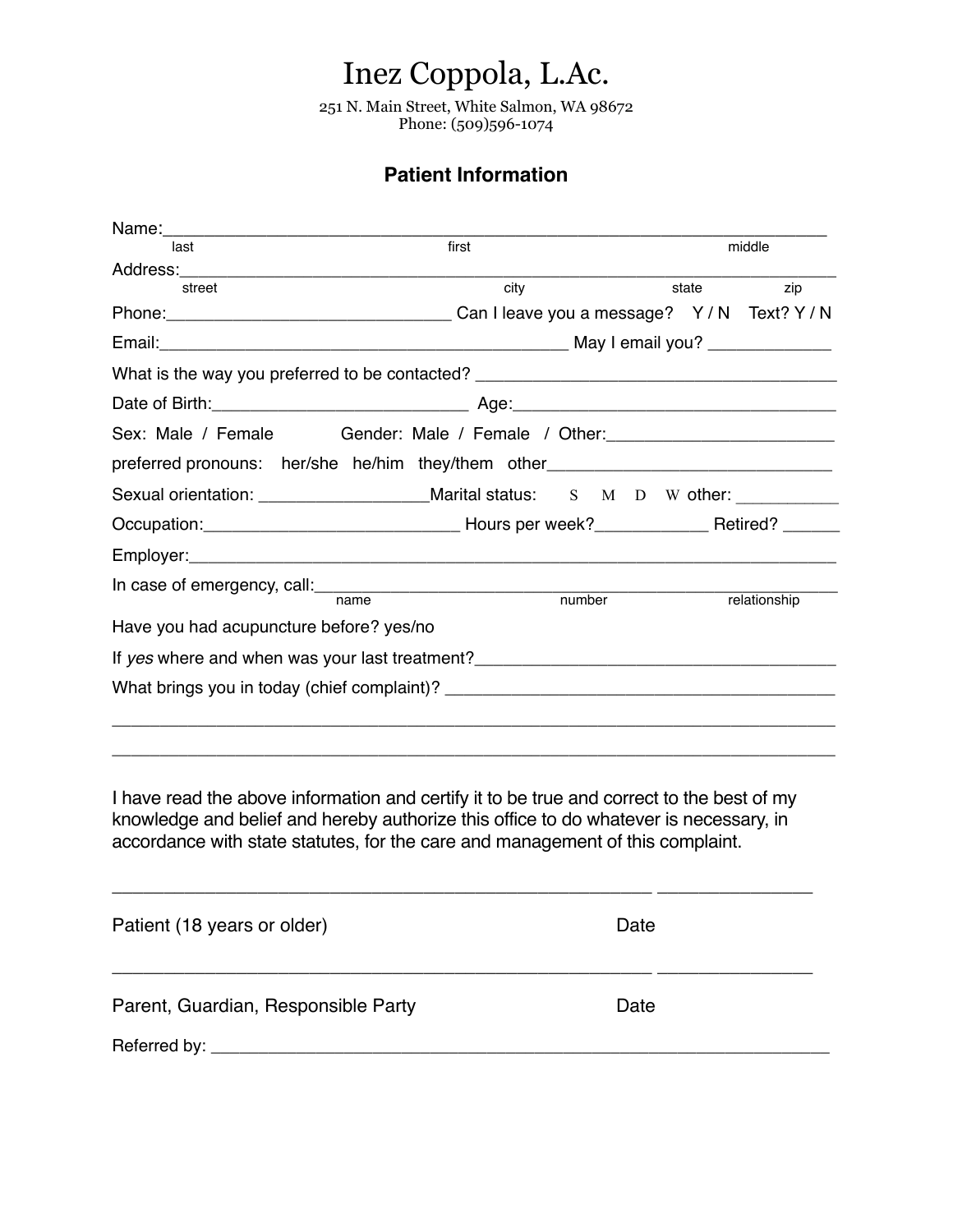251 N. Main Street, White Salmon, WA 98672 Phone: (509)596-1074

### **Patient Information**

| last                                                                                               | first         |  | middle       |  |  |  |
|----------------------------------------------------------------------------------------------------|---------------|--|--------------|--|--|--|
|                                                                                                    |               |  | zip          |  |  |  |
| street                                                                                             | city<br>state |  |              |  |  |  |
|                                                                                                    |               |  |              |  |  |  |
|                                                                                                    |               |  |              |  |  |  |
| What is the way you preferred to be contacted? _________________________________                   |               |  |              |  |  |  |
|                                                                                                    |               |  |              |  |  |  |
| Sex: Male / Female Gender: Male / Female / Other: \\connection \\connection \text{ Female / Other: |               |  |              |  |  |  |
| preferred pronouns: her/she he/him they/them other______________________________                   |               |  |              |  |  |  |
| Sexual orientation: ___________________________Marital status: S M D W other:                      |               |  |              |  |  |  |
|                                                                                                    |               |  |              |  |  |  |
|                                                                                                    |               |  |              |  |  |  |
|                                                                                                    |               |  |              |  |  |  |
| name                                                                                               | number        |  | relationship |  |  |  |
| Have you had acupuncture before? yes/no                                                            |               |  |              |  |  |  |
| If yes where and when was your last treatment?__________________________________                   |               |  |              |  |  |  |
|                                                                                                    |               |  |              |  |  |  |
|                                                                                                    |               |  |              |  |  |  |
|                                                                                                    |               |  |              |  |  |  |
|                                                                                                    |               |  |              |  |  |  |

I have read the above information and certify it to be true and correct to the best of my knowledge and belief and hereby authorize this office to do whatever is necessary, in accordance with state statutes, for the care and management of this complaint.

| Patient (18 years or older)         | Date |  |
|-------------------------------------|------|--|
| Parent, Guardian, Responsible Party | Date |  |
| Referred by: __                     |      |  |

\_\_\_\_\_\_\_\_\_\_\_\_\_\_\_\_\_\_\_\_\_\_\_\_\_\_\_\_\_\_\_\_\_\_\_\_\_\_\_\_\_\_\_\_\_\_\_\_\_\_\_\_ \_\_\_\_\_\_\_\_\_\_\_\_\_\_\_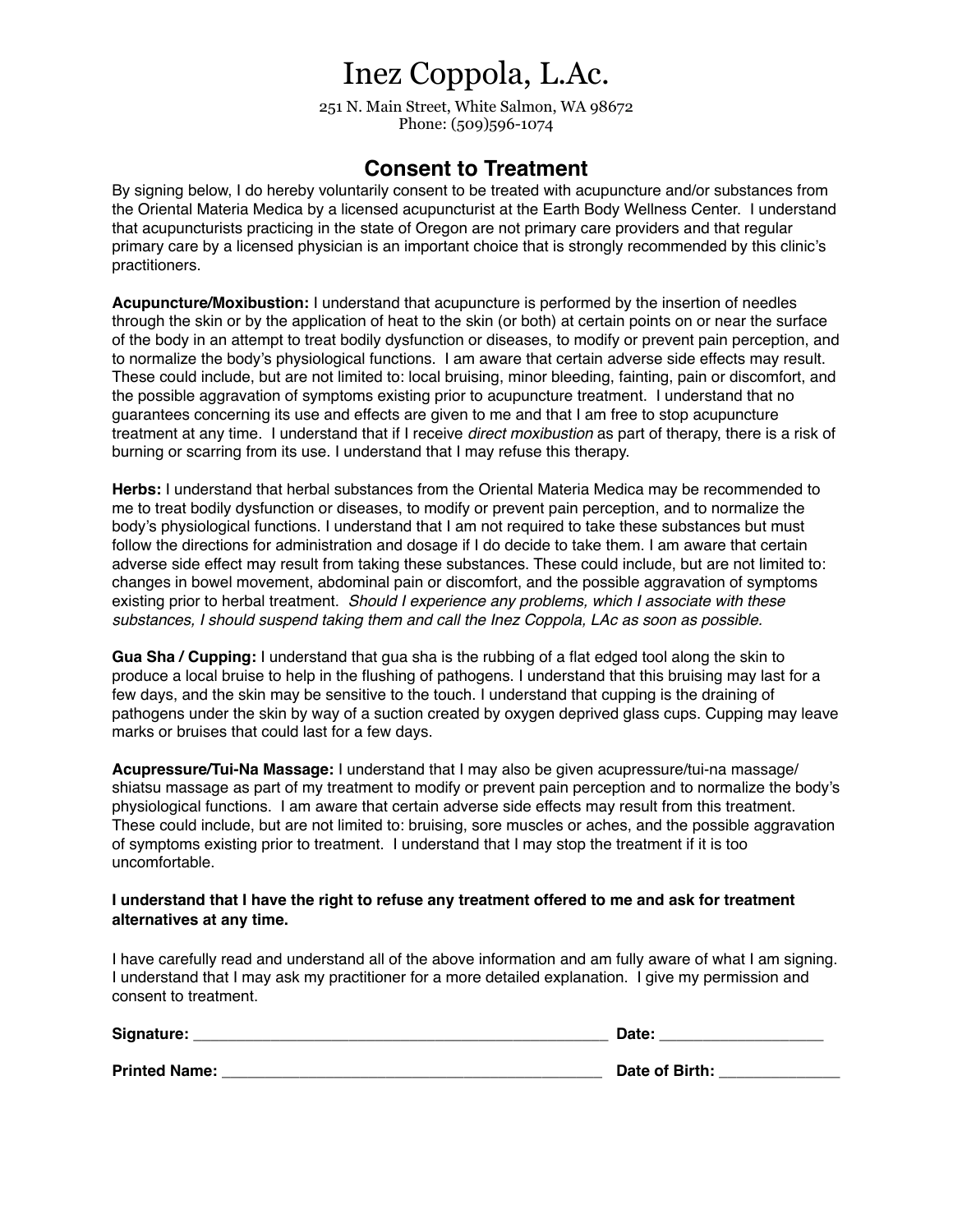251 N. Main Street, White Salmon, WA 98672 Phone: (509)596-1074

### **Consent to Treatment**

By signing below, I do hereby voluntarily consent to be treated with acupuncture and/or substances from the Oriental Materia Medica by a licensed acupuncturist at the Earth Body Wellness Center. I understand that acupuncturists practicing in the state of Oregon are not primary care providers and that regular primary care by a licensed physician is an important choice that is strongly recommended by this clinic's practitioners.

**Acupuncture/Moxibustion:** I understand that acupuncture is performed by the insertion of needles through the skin or by the application of heat to the skin (or both) at certain points on or near the surface of the body in an attempt to treat bodily dysfunction or diseases, to modify or prevent pain perception, and to normalize the body's physiological functions. I am aware that certain adverse side effects may result. These could include, but are not limited to: local bruising, minor bleeding, fainting, pain or discomfort, and the possible aggravation of symptoms existing prior to acupuncture treatment. I understand that no guarantees concerning its use and effects are given to me and that I am free to stop acupuncture treatment at any time. I understand that if I receive *direct moxibustion* as part of therapy, there is a risk of burning or scarring from its use. I understand that I may refuse this therapy.

**Herbs:** I understand that herbal substances from the Oriental Materia Medica may be recommended to me to treat bodily dysfunction or diseases, to modify or prevent pain perception, and to normalize the body's physiological functions. I understand that I am not required to take these substances but must follow the directions for administration and dosage if I do decide to take them. I am aware that certain adverse side effect may result from taking these substances. These could include, but are not limited to: changes in bowel movement, abdominal pain or discomfort, and the possible aggravation of symptoms existing prior to herbal treatment. *Should I experience any problems, which I associate with these substances, I should suspend taking them and call the Inez Coppola, LAc as soon as possible.*

**Gua Sha / Cupping:** I understand that gua sha is the rubbing of a flat edged tool along the skin to produce a local bruise to help in the flushing of pathogens. I understand that this bruising may last for a few days, and the skin may be sensitive to the touch. I understand that cupping is the draining of pathogens under the skin by way of a suction created by oxygen deprived glass cups. Cupping may leave marks or bruises that could last for a few days.

**Acupressure/Tui-Na Massage:** I understand that I may also be given acupressure/tui-na massage/ shiatsu massage as part of my treatment to modify or prevent pain perception and to normalize the body's physiological functions. I am aware that certain adverse side effects may result from this treatment. These could include, but are not limited to: bruising, sore muscles or aches, and the possible aggravation of symptoms existing prior to treatment. I understand that I may stop the treatment if it is too uncomfortable.

#### **I understand that I have the right to refuse any treatment offered to me and ask for treatment alternatives at any time.**

I have carefully read and understand all of the above information and am fully aware of what I am signing. I understand that I may ask my practitioner for a more detailed explanation. I give my permission and consent to treatment.

| Signature:           | Date:          |
|----------------------|----------------|
| <b>Printed Name:</b> | Date of Birth: |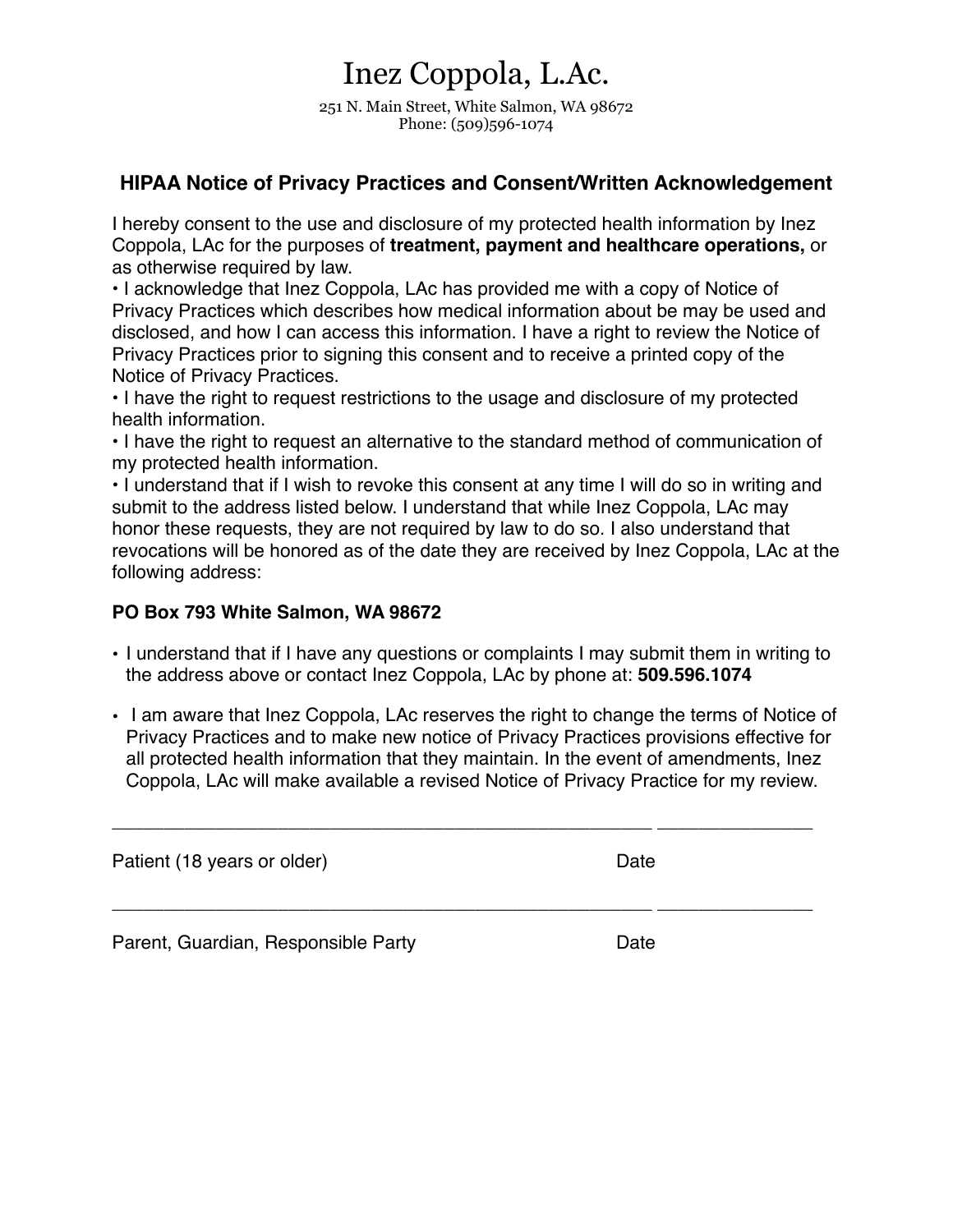251 N. Main Street, White Salmon, WA 98672 Phone: (509)596-1074

### **HIPAA Notice of Privacy Practices and Consent/Written Acknowledgement**

I hereby consent to the use and disclosure of my protected health information by Inez Coppola, LAc for the purposes of **treatment, payment and healthcare operations,** or as otherwise required by law.

• I acknowledge that Inez Coppola, LAc has provided me with a copy of Notice of Privacy Practices which describes how medical information about be may be used and disclosed, and how I can access this information. I have a right to review the Notice of Privacy Practices prior to signing this consent and to receive a printed copy of the Notice of Privacy Practices.

• I have the right to request restrictions to the usage and disclosure of my protected health information.

• I have the right to request an alternative to the standard method of communication of my protected health information.

• I understand that if I wish to revoke this consent at any time I will do so in writing and submit to the address listed below. I understand that while Inez Coppola, LAc may honor these requests, they are not required by law to do so. I also understand that revocations will be honored as of the date they are received by Inez Coppola, LAc at the following address:

#### **PO Box 793 White Salmon, WA 98672**

- I understand that if I have any questions or complaints I may submit them in writing to the address above or contact Inez Coppola, LAc by phone at: **509.596.1074**
- I am aware that Inez Coppola, LAc reserves the right to change the terms of Notice of Privacy Practices and to make new notice of Privacy Practices provisions effective for all protected health information that they maintain. In the event of amendments, Inez Coppola, LAc will make available a revised Notice of Privacy Practice for my review.

\_\_\_\_\_\_\_\_\_\_\_\_\_\_\_\_\_\_\_\_\_\_\_\_\_\_\_\_\_\_\_\_\_\_\_\_\_\_\_\_\_\_\_\_\_\_\_\_\_\_\_\_ \_\_\_\_\_\_\_\_\_\_\_\_\_\_\_

\_\_\_\_\_\_\_\_\_\_\_\_\_\_\_\_\_\_\_\_\_\_\_\_\_\_\_\_\_\_\_\_\_\_\_\_\_\_\_\_\_\_\_\_\_\_\_\_\_\_\_\_ \_\_\_\_\_\_\_\_\_\_\_\_\_\_\_

Patient (18 years or older) !! ! ! ! ! Date

Parent, Guardian, Responsible Party **1988** 2012 12:33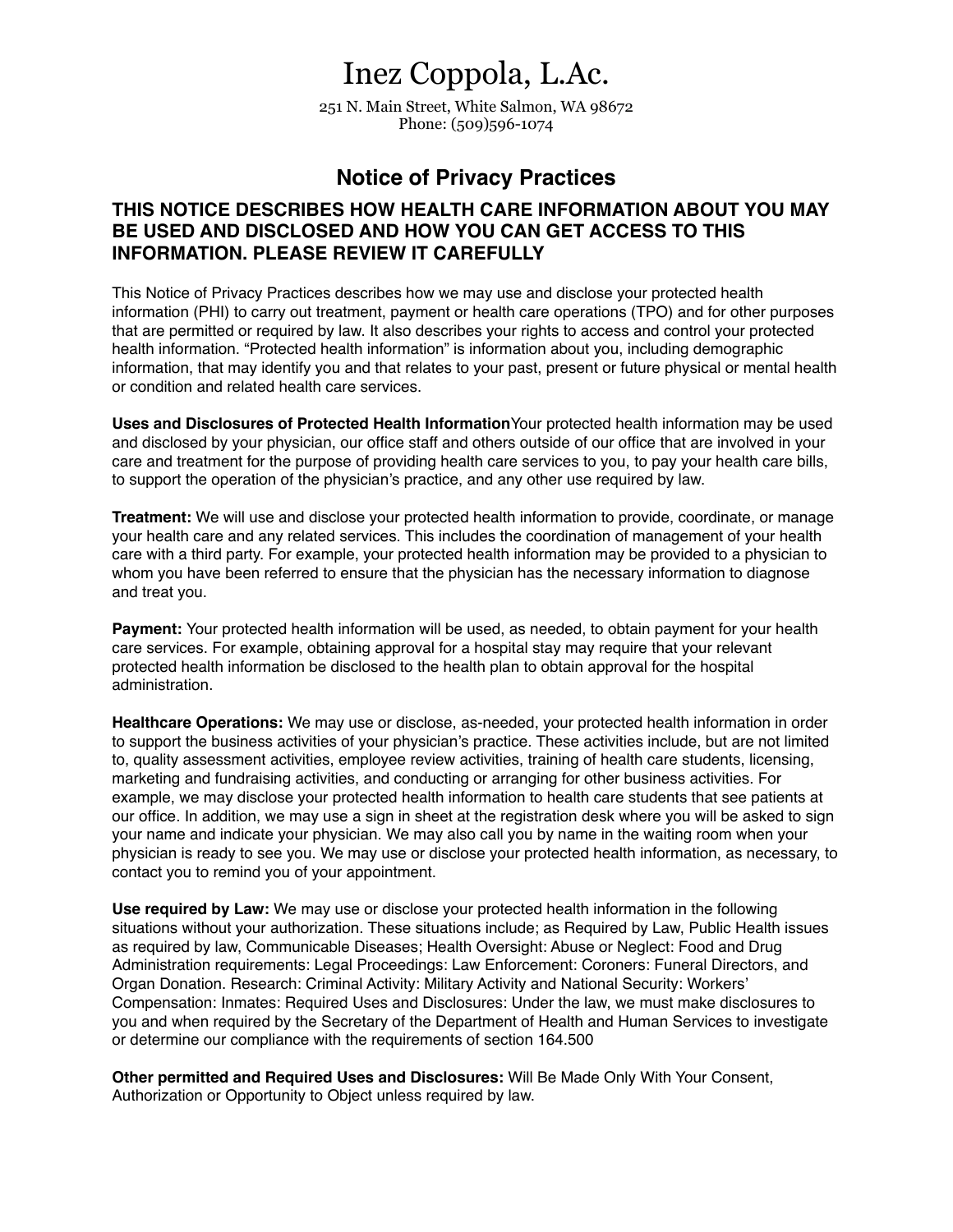251 N. Main Street, White Salmon, WA 98672 Phone: (509)596-1074

### **Notice of Privacy Practices**

#### **THIS NOTICE DESCRIBES HOW HEALTH CARE INFORMATION ABOUT YOU MAY BE USED AND DISCLOSED AND HOW YOU CAN GET ACCESS TO THIS INFORMATION. PLEASE REVIEW IT CAREFULLY**

This Notice of Privacy Practices describes how we may use and disclose your protected health information (PHI) to carry out treatment, payment or health care operations (TPO) and for other purposes that are permitted or required by law. It also describes your rights to access and control your protected health information. "Protected health information" is information about you, including demographic information, that may identify you and that relates to your past, present or future physical or mental health or condition and related health care services.

**Uses and Disclosures of Protected Health Information**Your protected health information may be used and disclosed by your physician, our office staff and others outside of our office that are involved in your care and treatment for the purpose of providing health care services to you, to pay your health care bills, to support the operation of the physician's practice, and any other use required by law.

**Treatment:** We will use and disclose your protected health information to provide, coordinate, or manage your health care and any related services. This includes the coordination of management of your health care with a third party. For example, your protected health information may be provided to a physician to whom you have been referred to ensure that the physician has the necessary information to diagnose and treat you.

**Payment:** Your protected health information will be used, as needed, to obtain payment for your health care services. For example, obtaining approval for a hospital stay may require that your relevant protected health information be disclosed to the health plan to obtain approval for the hospital administration.

**Healthcare Operations:** We may use or disclose, as-needed, your protected health information in order to support the business activities of your physician's practice. These activities include, but are not limited to, quality assessment activities, employee review activities, training of health care students, licensing, marketing and fundraising activities, and conducting or arranging for other business activities. For example, we may disclose your protected health information to health care students that see patients at our office. In addition, we may use a sign in sheet at the registration desk where you will be asked to sign your name and indicate your physician. We may also call you by name in the waiting room when your physician is ready to see you. We may use or disclose your protected health information, as necessary, to contact you to remind you of your appointment.

**Use required by Law:** We may use or disclose your protected health information in the following situations without your authorization. These situations include; as Required by Law, Public Health issues as required by law, Communicable Diseases; Health Oversight: Abuse or Neglect: Food and Drug Administration requirements: Legal Proceedings: Law Enforcement: Coroners: Funeral Directors, and Organ Donation. Research: Criminal Activity: Military Activity and National Security: Workers' Compensation: Inmates: Required Uses and Disclosures: Under the law, we must make disclosures to you and when required by the Secretary of the Department of Health and Human Services to investigate or determine our compliance with the requirements of section 164.500

**Other permitted and Required Uses and Disclosures:** Will Be Made Only With Your Consent, Authorization or Opportunity to Object unless required by law.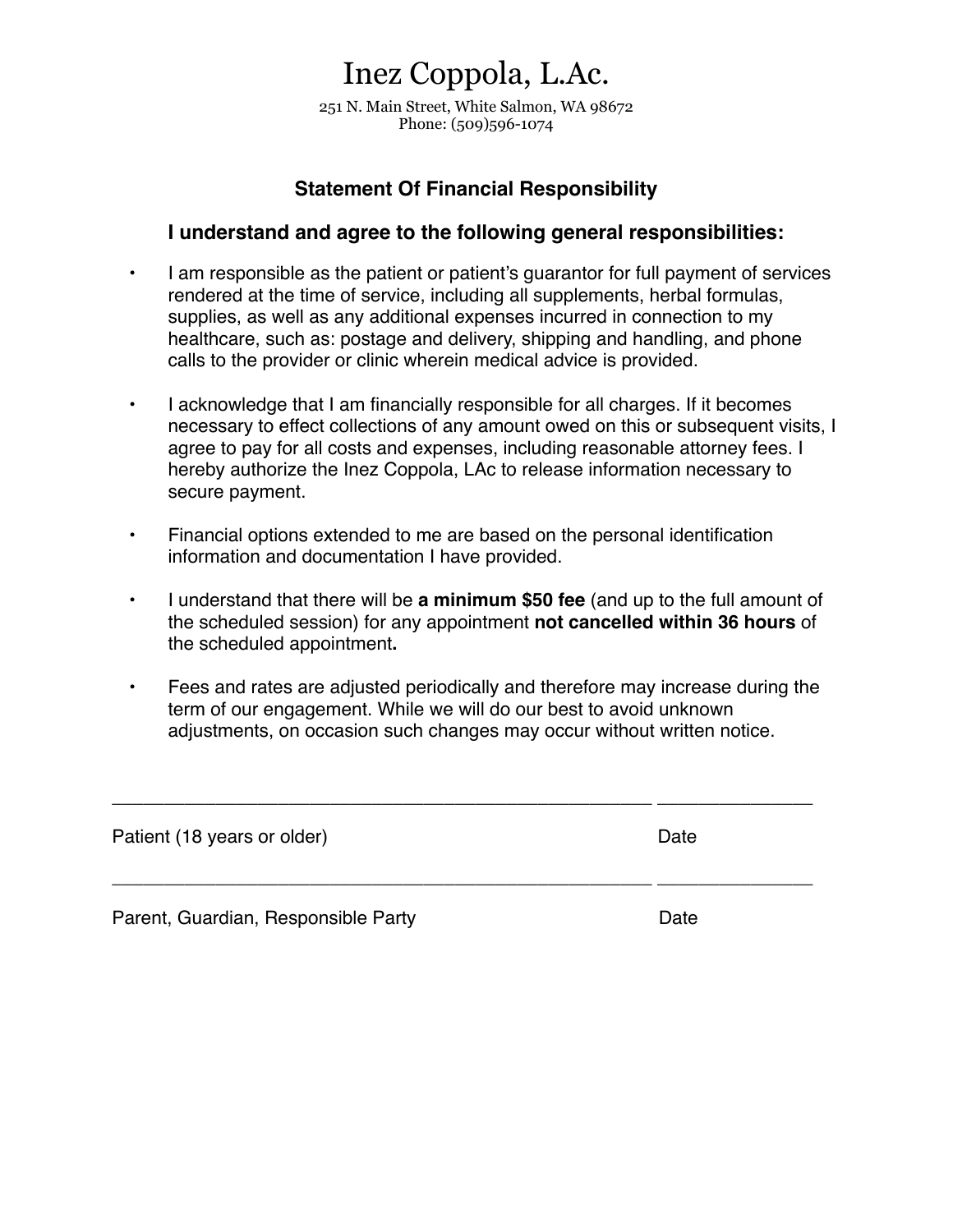251 N. Main Street, White Salmon, WA 98672 Phone: (509)596-1074

### **Statement Of Financial Responsibility**

### **I understand and agree to the following general responsibilities:**

- I am responsible as the patient or patient's guarantor for full payment of services rendered at the time of service, including all supplements, herbal formulas, supplies, as well as any additional expenses incurred in connection to my healthcare, such as: postage and delivery, shipping and handling, and phone calls to the provider or clinic wherein medical advice is provided.
- I acknowledge that I am financially responsible for all charges. If it becomes necessary to effect collections of any amount owed on this or subsequent visits, I agree to pay for all costs and expenses, including reasonable attorney fees. I hereby authorize the Inez Coppola, LAc to release information necessary to secure payment.
- Financial options extended to me are based on the personal identification information and documentation I have provided.
- **•** I understand that there will be **a minimum \$50 fee** (and up to the full amount of the scheduled session) for any appointment **not cancelled within 36 hours** of the scheduled appointment**.**
- Fees and rates are adjusted periodically and therefore may increase during the term of our engagement. While we will do our best to avoid unknown adjustments, on occasion such changes may occur without written notice.

| Patient (18 years or older)         | Date |
|-------------------------------------|------|
| Parent, Guardian, Responsible Party | Date |

\_\_\_\_\_\_\_\_\_\_\_\_\_\_\_\_\_\_\_\_\_\_\_\_\_\_\_\_\_\_\_\_\_\_\_\_\_\_\_\_\_\_\_\_\_\_\_\_\_\_\_\_ \_\_\_\_\_\_\_\_\_\_\_\_\_\_\_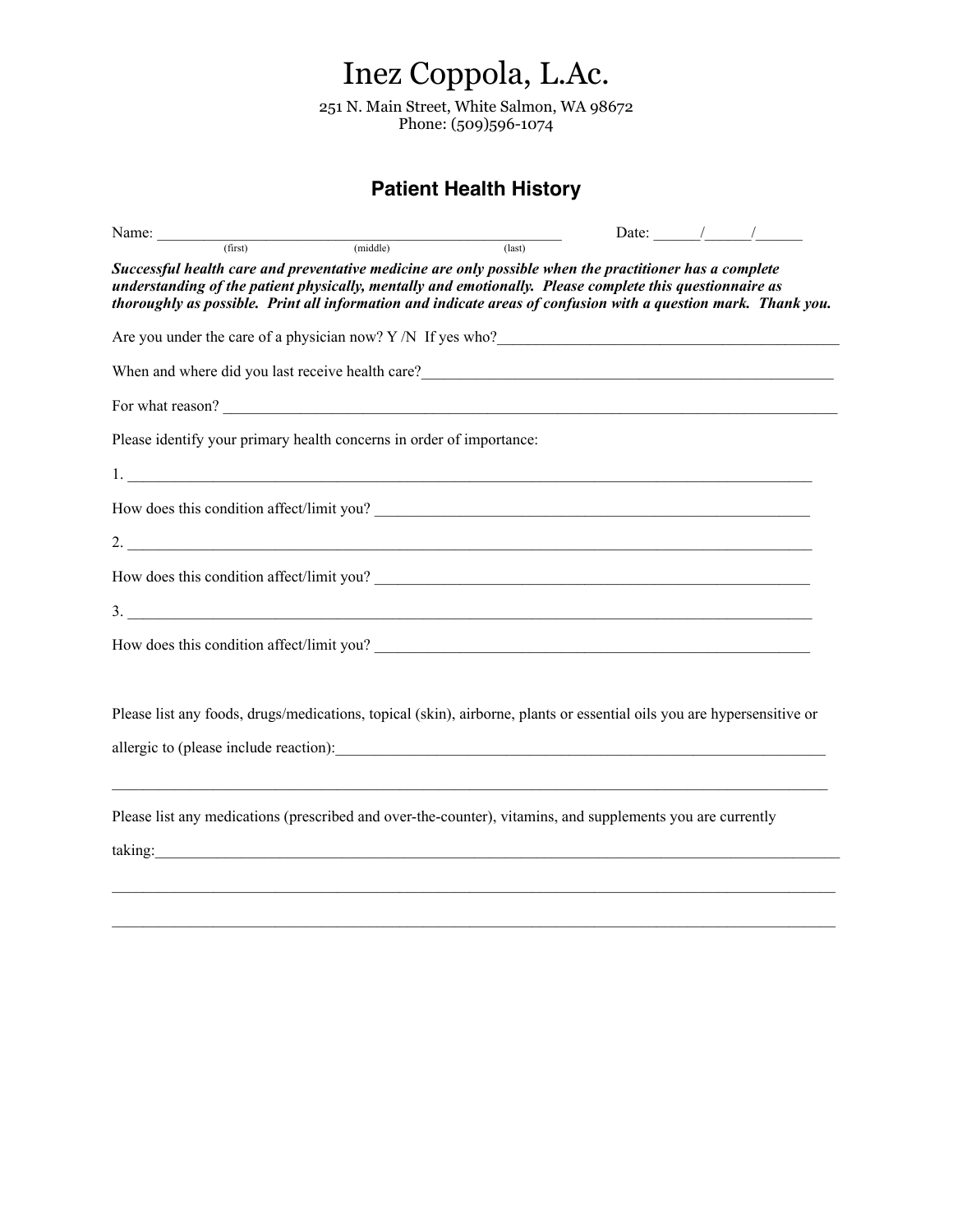251 N. Main Street, White Salmon, WA 98672 Phone: (509)596-1074

### **Patient Health History**

|  | Name: (first) (middle)                                                                                                                                                                                                                                                                                                                |                     | Date: $\frac{1}{\sqrt{2\pi}}$ |  |
|--|---------------------------------------------------------------------------------------------------------------------------------------------------------------------------------------------------------------------------------------------------------------------------------------------------------------------------------------|---------------------|-------------------------------|--|
|  |                                                                                                                                                                                                                                                                                                                                       | $\overline{(last)}$ |                               |  |
|  | Successful health care and preventative medicine are only possible when the practitioner has a complete<br>understanding of the patient physically, mentally and emotionally. Please complete this questionnaire as<br>thoroughly as possible. Print all information and indicate areas of confusion with a question mark. Thank you. |                     |                               |  |
|  |                                                                                                                                                                                                                                                                                                                                       |                     |                               |  |
|  | When and where did you last receive health care?<br><u>Letting and the contract of the set of the set of the set of the set of the set of the set of the set of the set of the set of the set of the set of the set of the set of </u>                                                                                                |                     |                               |  |
|  | For what reason?                                                                                                                                                                                                                                                                                                                      |                     |                               |  |
|  | Please identify your primary health concerns in order of importance:                                                                                                                                                                                                                                                                  |                     |                               |  |
|  |                                                                                                                                                                                                                                                                                                                                       |                     |                               |  |
|  | How does this condition affect/limit you?                                                                                                                                                                                                                                                                                             |                     |                               |  |
|  | 2. $\overline{\phantom{a}}$                                                                                                                                                                                                                                                                                                           |                     |                               |  |
|  | How does this condition affect/limit you?                                                                                                                                                                                                                                                                                             |                     |                               |  |
|  | 3.                                                                                                                                                                                                                                                                                                                                    |                     |                               |  |
|  | How does this condition affect/limit you?                                                                                                                                                                                                                                                                                             |                     |                               |  |
|  | Please list any foods, drugs/medications, topical (skin), airborne, plants or essential oils you are hypersensitive or                                                                                                                                                                                                                |                     |                               |  |
|  | Please list any medications (prescribed and over-the-counter), vitamins, and supplements you are currently                                                                                                                                                                                                                            |                     |                               |  |
|  |                                                                                                                                                                                                                                                                                                                                       |                     |                               |  |

 $\mathcal{L}_\mathcal{L} = \{ \mathcal{L}_\mathcal{L} = \{ \mathcal{L}_\mathcal{L} = \{ \mathcal{L}_\mathcal{L} = \{ \mathcal{L}_\mathcal{L} = \{ \mathcal{L}_\mathcal{L} = \{ \mathcal{L}_\mathcal{L} = \{ \mathcal{L}_\mathcal{L} = \{ \mathcal{L}_\mathcal{L} = \{ \mathcal{L}_\mathcal{L} = \{ \mathcal{L}_\mathcal{L} = \{ \mathcal{L}_\mathcal{L} = \{ \mathcal{L}_\mathcal{L} = \{ \mathcal{L}_\mathcal{L} = \{ \mathcal{L}_\mathcal{$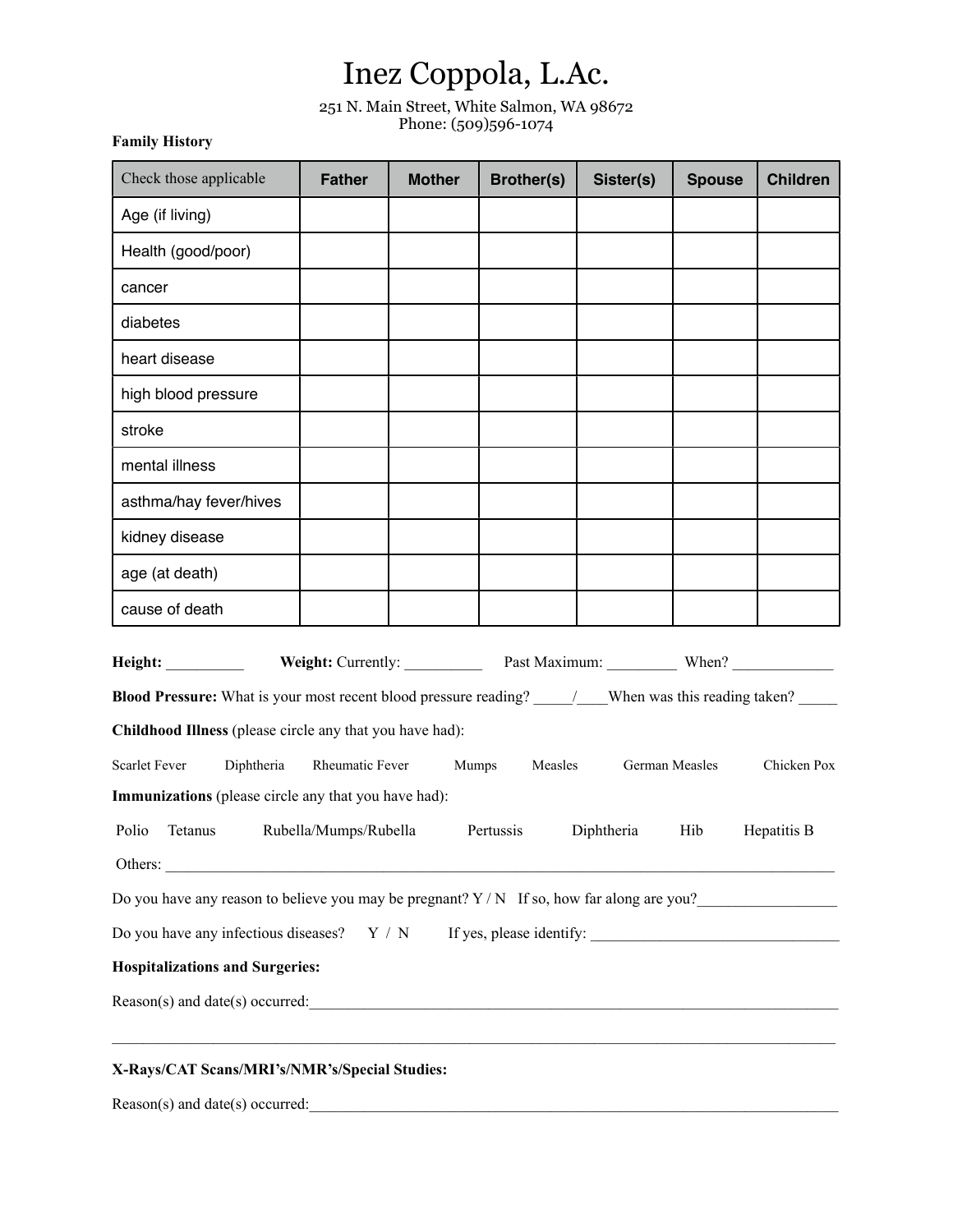251 N. Main Street, White Salmon, WA 98672 Phone: (509)596-1074

#### **Family History**

| Check those applicable                                                                                        | <b>Father</b>         | <b>Mother</b> | <b>Brother(s)</b>                      | Sister(s)      | <b>Spouse</b> | <b>Children</b> |
|---------------------------------------------------------------------------------------------------------------|-----------------------|---------------|----------------------------------------|----------------|---------------|-----------------|
| Age (if living)                                                                                               |                       |               |                                        |                |               |                 |
| Health (good/poor)                                                                                            |                       |               |                                        |                |               |                 |
| cancer                                                                                                        |                       |               |                                        |                |               |                 |
| diabetes                                                                                                      |                       |               |                                        |                |               |                 |
| heart disease                                                                                                 |                       |               |                                        |                |               |                 |
| high blood pressure                                                                                           |                       |               |                                        |                |               |                 |
| stroke                                                                                                        |                       |               |                                        |                |               |                 |
| mental illness                                                                                                |                       |               |                                        |                |               |                 |
| asthma/hay fever/hives                                                                                        |                       |               |                                        |                |               |                 |
| kidney disease                                                                                                |                       |               |                                        |                |               |                 |
| age (at death)                                                                                                |                       |               |                                        |                |               |                 |
| cause of death                                                                                                |                       |               |                                        |                |               |                 |
| Blood Pressure: What is your most recent blood pressure reading? _____/___When was this reading taken? ______ |                       |               | Weight: Currently: Past Maximum: When? |                |               |                 |
| Childhood Illness (please circle any that you have had):                                                      |                       |               |                                        |                |               |                 |
| <b>Scarlet Fever</b><br>Diphtheria<br><b>Immunizations</b> (please circle any that you have had):             | Rheumatic Fever       | Mumps         | Measles                                | German Measles |               | Chicken Pox     |
| Polio<br>Tetanus<br>Others:                                                                                   | Rubella/Mumps/Rubella |               | Pertussis                              | Diphtheria     | Hib           | Hepatitis B     |
| Do you have any reason to believe you may be pregnant? Y / N If so, how far along are you?                    |                       |               |                                        |                |               |                 |
|                                                                                                               |                       |               |                                        |                |               |                 |
| <b>Hospitalizations and Surgeries:</b>                                                                        |                       |               |                                        |                |               |                 |
| Reason(s) and date(s) occurred:                                                                               |                       |               |                                        |                |               |                 |
| X-Rays/CAT Scans/MRI's/NMR's/Special Studies:                                                                 |                       |               |                                        |                |               |                 |

Reason(s) and date(s) occurred:\_\_\_\_\_\_\_\_\_\_\_\_\_\_\_\_\_\_\_\_\_\_\_\_\_\_\_\_\_\_\_\_\_\_\_\_\_\_\_\_\_\_\_\_\_\_\_\_\_\_\_\_\_\_\_\_\_\_\_\_\_\_\_\_\_\_\_\_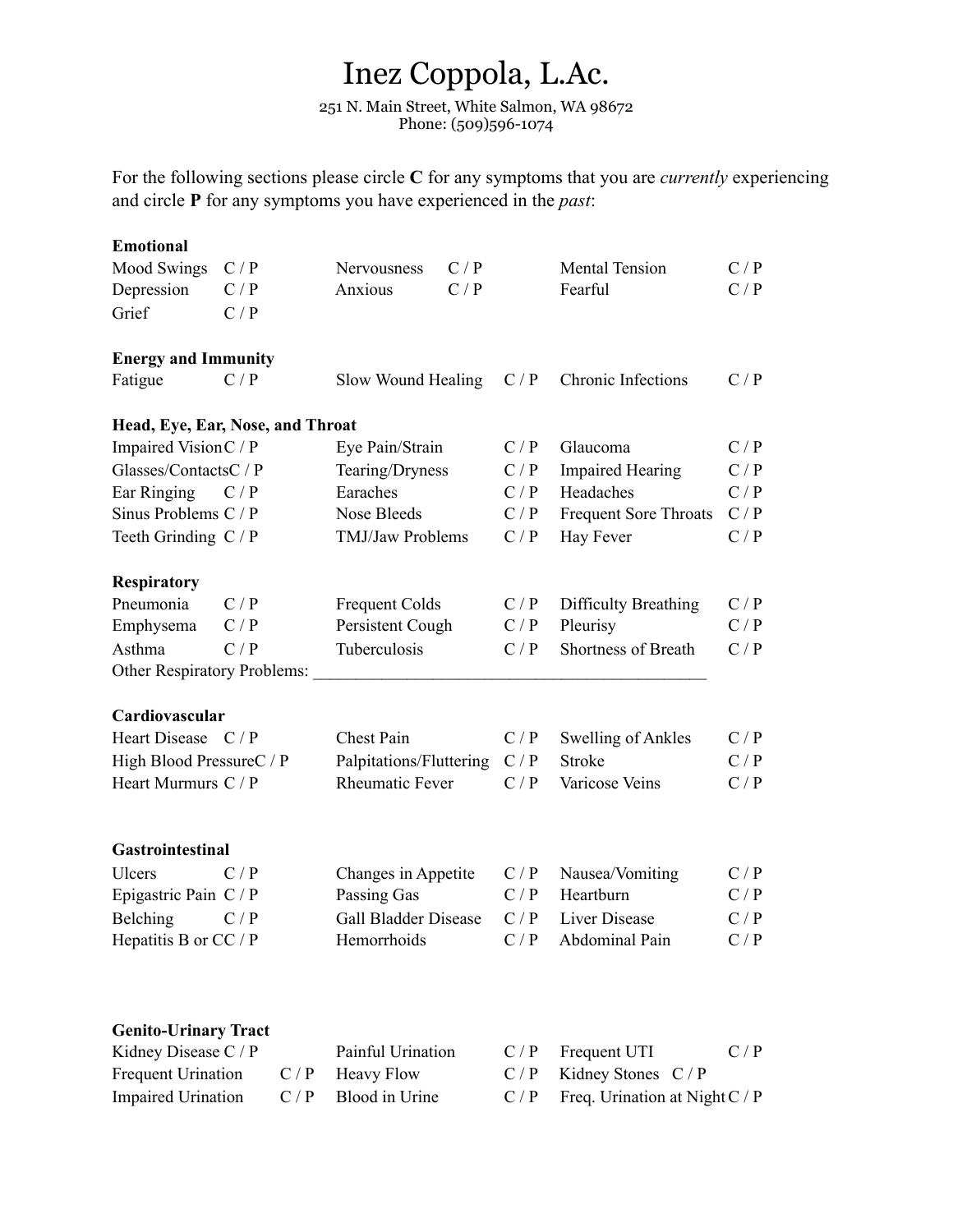251 N. Main Street, White Salmon, WA 98672 Phone: (509)596-1074

For the following sections please circle **C** for any symptoms that you are *currently* experiencing and circle **P** for any symptoms you have experienced in the *past*:

| <b>Emotional</b>            |                                  |                             |     |       |                              |       |
|-----------------------------|----------------------------------|-----------------------------|-----|-------|------------------------------|-------|
| <b>Mood Swings</b>          | C/P                              | Nervousness                 | C/P |       | <b>Mental Tension</b>        | C/P   |
| Depression                  | C/P                              | Anxious                     | C/P |       | Fearful                      | C / P |
| Grief                       | C/P                              |                             |     |       |                              |       |
| <b>Energy and Immunity</b>  |                                  |                             |     |       |                              |       |
| Fatigue                     | C/P                              | Slow Wound Healing          |     | C/P   | <b>Chronic Infections</b>    | C/P   |
|                             | Head, Eye, Ear, Nose, and Throat |                             |     |       |                              |       |
| Impaired Vision C / P       |                                  | Eye Pain/Strain             |     | C/P   | Glaucoma                     | C / P |
| Glasses/ContactsC / P       |                                  | Tearing/Dryness             |     | C/P   | <b>Impaired Hearing</b>      | C / P |
| Ear Ringing                 | C/P                              | Earaches                    |     | C / P | Headaches                    | C / P |
| Sinus Problems C / P        |                                  | Nose Bleeds                 |     | C / P | <b>Frequent Sore Throats</b> | C/P   |
| Teeth Grinding $C / P$      |                                  | TMJ/Jaw Problems            |     | C / P | Hay Fever                    | C/P   |
| <b>Respiratory</b>          |                                  |                             |     |       |                              |       |
| Pneumonia                   | C/P                              | <b>Frequent Colds</b>       |     | C/P   | Difficulty Breathing         | C / P |
| Emphysema                   | C/P                              | Persistent Cough            |     | C / P | Pleurisy                     | C / P |
| Asthma                      | C/P                              | Tuberculosis                |     | C/P   | Shortness of Breath          | C/P   |
| Other Respiratory Problems: |                                  |                             |     |       |                              |       |
| Cardiovascular              |                                  |                             |     |       |                              |       |
| Heart Disease $C/P$         |                                  | Chest Pain                  |     | C/P   | Swelling of Ankles           | C/P   |
| High Blood PressureC / P    |                                  | Palpitations/Fluttering     |     | C/P   | <b>Stroke</b>                | C/P   |
| Heart Murmurs C / P         |                                  | <b>Rheumatic Fever</b>      |     | C/P   | Varicose Veins               | C / P |
| Gastrointestinal            |                                  |                             |     |       |                              |       |
| Ulcers                      | C/P                              | Changes in Appetite         |     | C/P   | Nausea/Vomiting              | C / P |
| Epigastric Pain C / P       |                                  | Passing Gas                 |     | C/P   | Heartburn                    | C / P |
| Belching                    | C/P                              | <b>Gall Bladder Disease</b> |     | C/P   | Liver Disease                | C/P   |
| Hepatitis B or CC / P       |                                  | Hemorrhoids                 |     | C / P | Abdominal Pain               | C / P |
|                             |                                  |                             |     |       |                              |       |

| <b>Genito-Urinary Tract</b>         |                      |                                      |
|-------------------------------------|----------------------|--------------------------------------|
| Kidney Disease $C / P$              | Painful Urination    | $C/P$ Frequent UTI<br>C/P            |
| Frequent Urination $C/P$ Heavy Flow |                      | $C/P$ Kidney Stones $C/P$            |
| <b>Impaired Urination</b>           | $C/P$ Blood in Urine | $C/P$ Freq. Urination at Night C / P |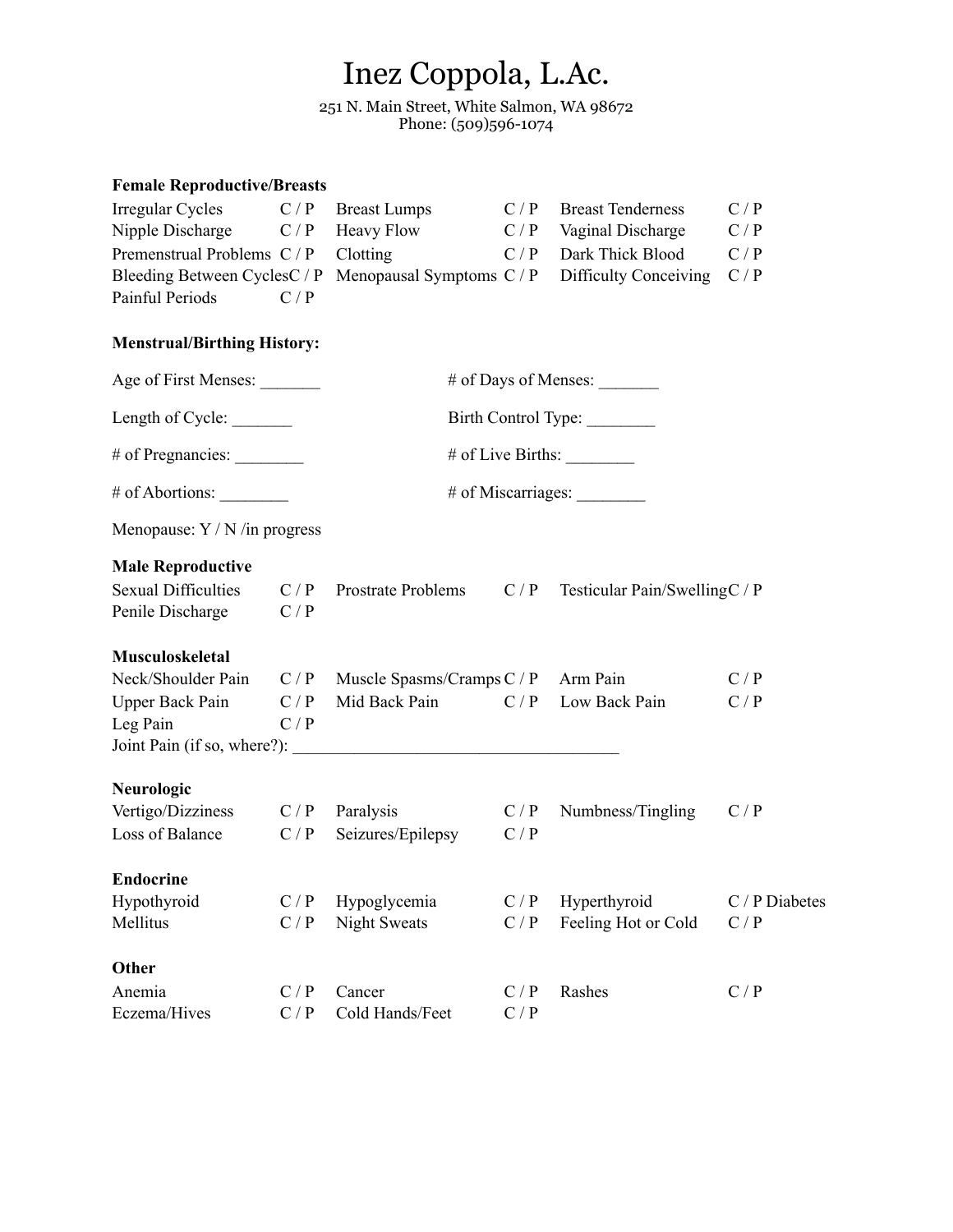251 N. Main Street, White Salmon, WA 98672 Phone: (509)596-1074

| <b>Female Reproductive/Breasts</b> |       |                            |       |                               |                  |
|------------------------------------|-------|----------------------------|-------|-------------------------------|------------------|
| Irregular Cycles                   | C/P   | <b>Breast Lumps</b>        | C/P   | <b>Breast Tenderness</b>      | C/P              |
| Nipple Discharge $C/P$             |       | Heavy Flow                 | C / P | Vaginal Discharge             | C / P            |
| Premenstrual Problems C / P        |       | Clotting                   | C/P   | Dark Thick Blood              | C/P              |
| Bleeding Between CyclesC / P       |       | Menopausal Symptoms C / P  |       | <b>Difficulty Conceiving</b>  | C/P              |
| Painful Periods                    | C/P   |                            |       |                               |                  |
| <b>Menstrual/Birthing History:</b> |       |                            |       |                               |                  |
| Age of First Menses:               |       |                            |       | # of Days of Menses:          |                  |
| Length of Cycle:                   |       |                            |       | Birth Control Type:           |                  |
| # of Pregnancies: ___________      |       |                            |       |                               |                  |
| # of Abortions:                    |       |                            |       | # of Miscarriages: ________   |                  |
| Menopause: $Y / N /$ in progress   |       |                            |       |                               |                  |
| <b>Male Reproductive</b>           |       |                            |       |                               |                  |
| <b>Sexual Difficulties</b>         | C/P   | Prostrate Problems         | C/P   | Testicular Pain/SwellingC / P |                  |
| Penile Discharge                   | C/P   |                            |       |                               |                  |
| Musculoskeletal                    |       |                            |       |                               |                  |
| Neck/Shoulder Pain                 | C/P   | Muscle Spasms/Cramps C / P |       | Arm Pain                      | C/P              |
| <b>Upper Back Pain</b>             | C/P   | Mid Back Pain              | C/P   | Low Back Pain                 | C/P              |
| Leg Pain                           | C/P   |                            |       |                               |                  |
|                                    |       |                            |       |                               |                  |
| Neurologic                         |       |                            |       |                               |                  |
| Vertigo/Dizziness                  | C/P   | Paralysis                  | C/P   | Numbness/Tingling             | C/P              |
| Loss of Balance                    | C/P   | Seizures/Epilepsy          | C/P   |                               |                  |
| <b>Endocrine</b>                   |       |                            |       |                               |                  |
| Hypothyroid                        | C/P   | Hypoglycemia               | C/P   | Hyperthyroid                  | $C / P$ Diabetes |
| Mellitus                           | C / P | <b>Night Sweats</b>        | C/P   | Feeling Hot or Cold           | C/P              |
| Other                              |       |                            |       |                               |                  |
| Anemia                             | C/P   | Cancer                     | C/P   | Rashes                        | C / P            |
| Eczema/Hives                       | C / P | Cold Hands/Feet            | C / P |                               |                  |